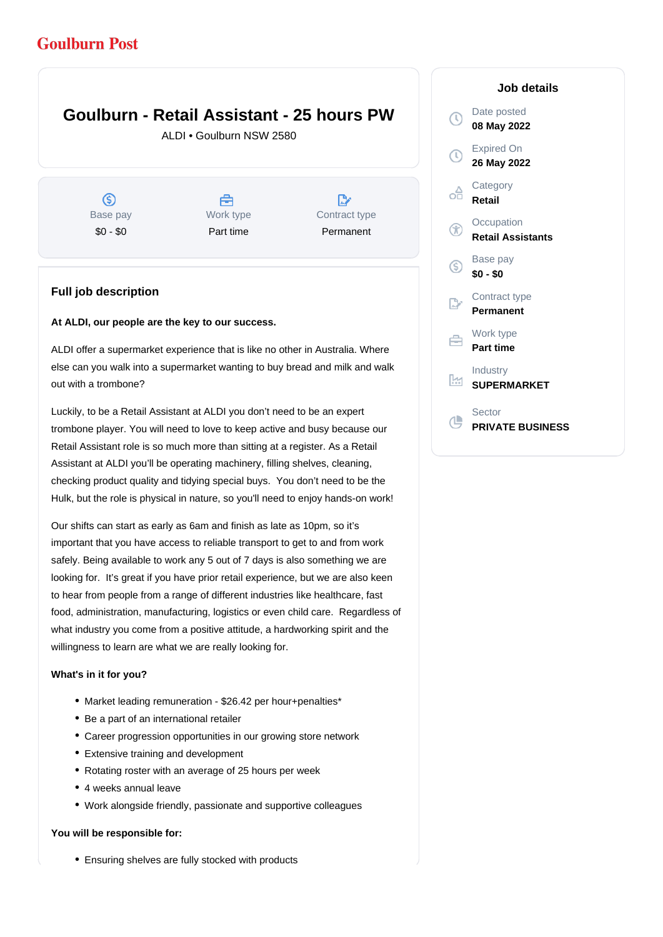# **Goulburn Post**

# **Goulburn - Retail Assistant - 25 hours PW**

ALDI • Goulburn NSW 2580

ග Base pay \$0 - \$0

A Work type Part time

 $\mathbb{R}^{\circ}$ Contract type Permanent

## **Full job description**

#### **At ALDI, our people are the key to our success.**

ALDI offer a supermarket experience that is like no other in Australia. Where else can you walk into a supermarket wanting to buy bread and milk and walk out with a trombone?

Luckily, to be a Retail Assistant at ALDI you don't need to be an expert trombone player. You will need to love to keep active and busy because our Retail Assistant role is so much more than sitting at a register. As a Retail Assistant at ALDI you'll be operating machinery, filling shelves, cleaning, checking product quality and tidying special buys. You don't need to be the Hulk, but the role is physical in nature, so you'll need to enjoy hands-on work!

Our shifts can start as early as 6am and finish as late as 10pm, so it's important that you have access to reliable transport to get to and from work safely. Being available to work any 5 out of 7 days is also something we are looking for. It's great if you have prior retail experience, but we are also keen to hear from people from a range of different industries like healthcare, fast food, administration, manufacturing, logistics or even child care. Regardless of what industry you come from a positive attitude, a hardworking spirit and the willingness to learn are what we are really looking for.

### **What's in it for you?**

- Market leading remuneration \$26.42 per hour+penalties\*
- Be a part of an international retailer
- Career progression opportunities in our growing store network
- Extensive training and development
- Rotating roster with an average of 25 hours per week
- 4 weeks annual leave
- Work alongside friendly, passionate and supportive colleagues

### **You will be responsible for:**

Ensuring shelves are fully stocked with products

## **Job details**

|    | Date posted<br>08 May 2022             |
|----|----------------------------------------|
| T) | <b>Expired On</b><br>26 May 2022       |
| oâ | Category<br>Retail                     |
| Œ  | Occupation<br><b>Retail Assistants</b> |
| G) | Base pay<br>\$0 - \$0                  |
|    | Contract type<br>Permanent             |
|    | Work type<br>Part time                 |
| K  | Industry<br><b>SUPERMARKET</b>         |
|    | Sector<br><b>PRIVATE BUSINESS</b>      |